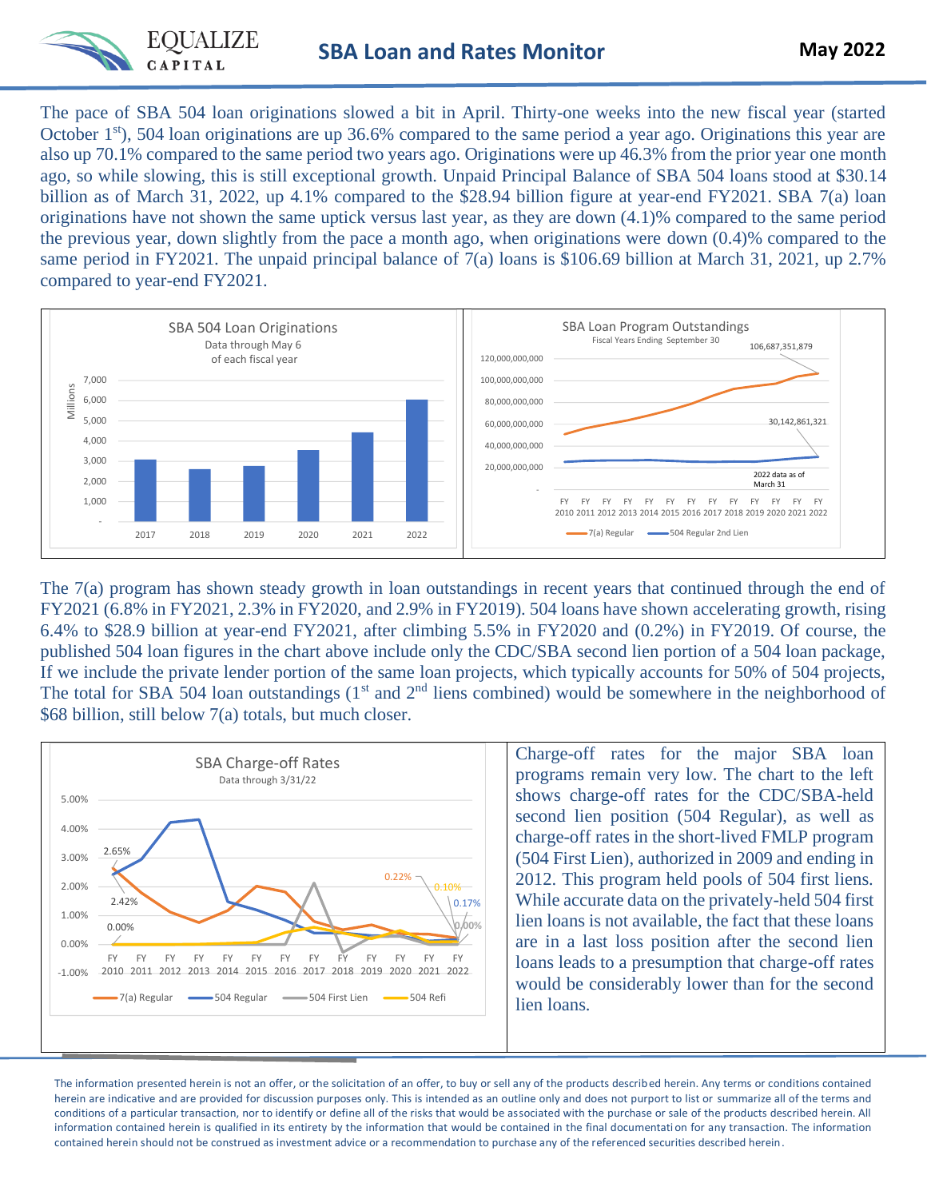

The pace of SBA 504 loan originations slowed a bit in April. Thirty-one weeks into the new fiscal year (started October  $1<sup>st</sup>$ , 504 loan originations are up 36.6% compared to the same period a year ago. Originations this year are also up 70.1% compared to the same period two years ago. Originations were up 46.3% from the prior year one month ago, so while slowing, this is still exceptional growth. Unpaid Principal Balance of SBA 504 loans stood at \$30.14 billion as of March 31, 2022, up 4.1% compared to the \$28.94 billion figure at year-end FY2021. SBA 7(a) loan originations have not shown the same uptick versus last year, as they are down (4.1)% compared to the same period the previous year, down slightly from the pace a month ago, when originations were down (0.4)% compared to the same period in FY2021. The unpaid principal balance of 7(a) loans is \$106.69 billion at March 31, 2021, up 2.7% compared to year-end FY2021.



The 7(a) program has shown steady growth in loan outstandings in recent years that continued through the end of FY2021 (6.8% in FY2021, 2.3% in FY2020, and 2.9% in FY2019). 504 loans have shown accelerating growth, rising 6.4% to \$28.9 billion at year-end FY2021, after climbing 5.5% in FY2020 and (0.2%) in FY2019. Of course, the published 504 loan figures in the chart above include only the CDC/SBA second lien portion of a 504 loan package, If we include the private lender portion of the same loan projects, which typically accounts for 50% of 504 projects, The total for SBA 504 loan outstandings  $(1<sup>st</sup>$  and  $2<sup>nd</sup>$  liens combined) would be somewhere in the neighborhood of \$68 billion, still below 7(a) totals, but much closer.



Charge-off rates for the major SBA loan programs remain very low. The chart to the left shows charge-off rates for the CDC/SBA-held second lien position (504 Regular), as well as charge-off rates in the short-lived FMLP program (504 First Lien), authorized in 2009 and ending in 2012. This program held pools of 504 first liens. While accurate data on the privately-held 504 first lien loans is not available, the fact that these loans are in a last loss position after the second lien loans leads to a presumption that charge-off rates would be considerably lower than for the second lien loans.

The information presented herein is not an offer, or the solicitation of an offer, to buy or sell any of the products described herein. Any terms or conditions contained herein are indicative and are provided for discussion purposes only. This is intended as an outline only and does not purport to list or summarize all of the terms and conditions of a particular transaction, nor to identify or define all of the risks that would be associated with the purchase or sale of the products described herein. All information contained herein is qualified in its entirety by the information that would be contained in the final documentation for any transaction. The information contained herein should not be construed as investment advice or a recommendation to purchase any of the referenced securities described herein.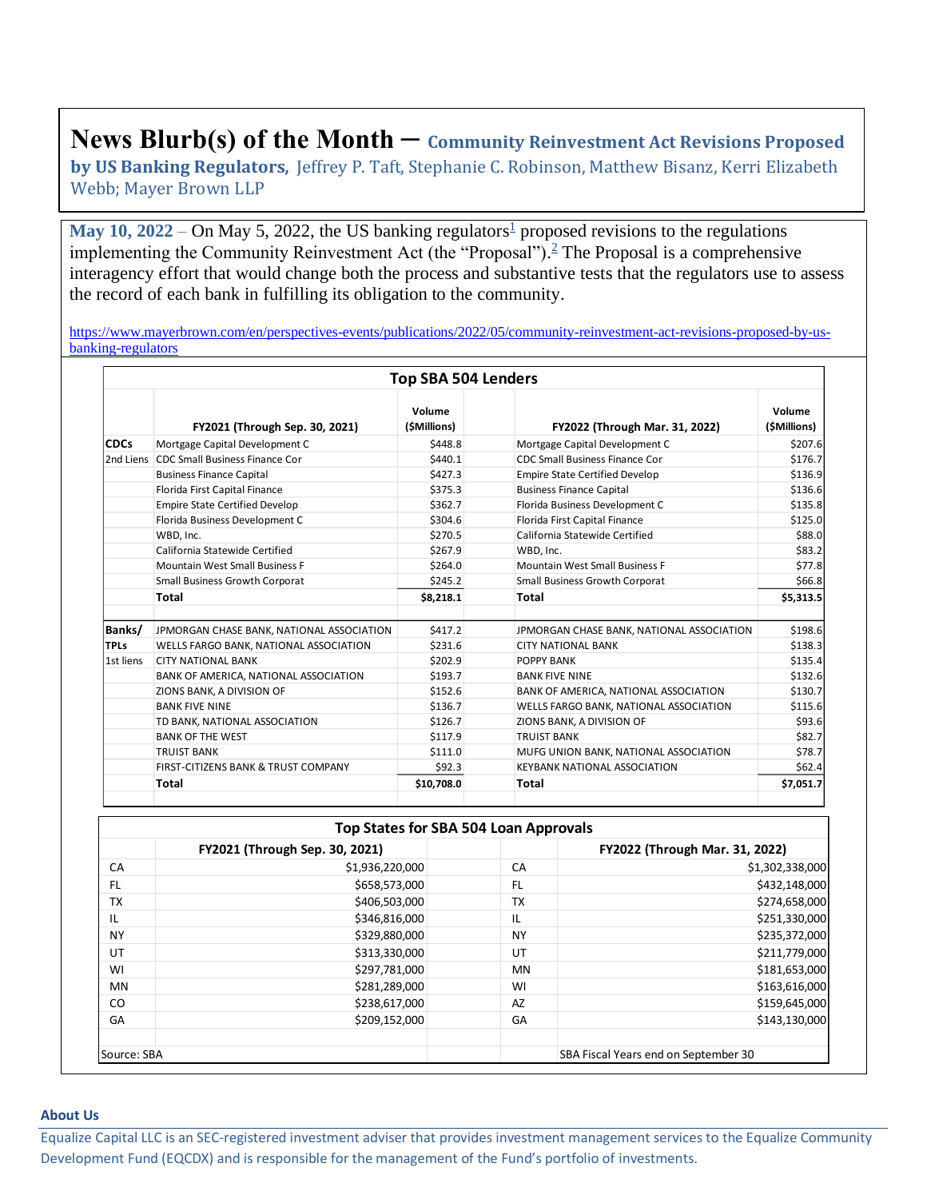## **News Blurb(s) of the Month – Community Reinvestment Act Revisions Proposed**

**by US Banking Regulators,** Jeffrey P. Taft, Stephanie C. Robinson, Matthew Bisanz, Kerri Elizabeth Webb; Mayer Brown LLP

**May 10, 2022** – On May 5, 2022, the US banking regulator[s](https://www.mayerbrown.com/en/perspectives-events/publications/2022/05/community-reinvestment-act-revisions-proposed-by-us-banking-regulators#One)<sup>1</sup> proposed revisions to the regulations implementing the Community Reinvestment Act (the "Proposal"). [2](https://www.mayerbrown.com/en/perspectives-events/publications/2022/05/community-reinvestment-act-revisions-proposed-by-us-banking-regulators#Two) The Proposal is a comprehensive interagency effort that would change both the process and substantive tests that the regulators use to assess the record of each bank in fulfilling its obligation to the community.

[https://www.mayerbrown.com/en/perspectives-events/publications/2022/05/community-reinvestment-act-revisions-proposed-by-us](https://www.mayerbrown.com/en/perspectives-events/publications/2022/05/community-reinvestment-act-revisions-proposed-by-us-banking-regulators)[banking-regulators](https://www.mayerbrown.com/en/perspectives-events/publications/2022/05/community-reinvestment-act-revisions-proposed-by-us-banking-regulators)

| <b>Top SBA 504 Lenders</b> |                                           |                        |                                           |                        |  |  |  |  |
|----------------------------|-------------------------------------------|------------------------|-------------------------------------------|------------------------|--|--|--|--|
|                            | FY2021 (Through Sep. 30, 2021)            | Volume<br>(\$Millions) | FY2022 (Through Mar. 31, 2022)            | Volume<br>(\$Millions) |  |  |  |  |
| <b>CDCs</b>                | Mortgage Capital Development C            | \$448.8                | Mortgage Capital Development C            | \$207.6                |  |  |  |  |
| 2nd Liens                  | CDC Small Business Finance Cor            | \$440.1                | CDC Small Business Finance Cor            | \$176.7                |  |  |  |  |
|                            | <b>Business Finance Capital</b>           | \$427.3                | <b>Empire State Certified Develop</b>     | \$136.9                |  |  |  |  |
|                            | Florida First Capital Finance             | \$375.3                | <b>Business Finance Capital</b>           | \$136.6                |  |  |  |  |
|                            | <b>Empire State Certified Develop</b>     | \$362.7                | Florida Business Development C            | \$135.8                |  |  |  |  |
|                            | Florida Business Development C            | \$304.6                | Florida First Capital Finance             | \$125.0                |  |  |  |  |
|                            | WBD, Inc.                                 | \$270.5                | California Statewide Certified            | \$88.0                 |  |  |  |  |
|                            | California Statewide Certified            | \$267.9                | WBD, Inc.                                 | \$83.2                 |  |  |  |  |
|                            | <b>Mountain West Small Business F</b>     | \$264.0                | Mountain West Small Business F            | \$77.8                 |  |  |  |  |
|                            | <b>Small Business Growth Corporat</b>     | \$245.2                | <b>Small Business Growth Corporat</b>     | \$66.8<br>\$5,313.5    |  |  |  |  |
|                            | Total                                     | \$8,218.1              | Total                                     |                        |  |  |  |  |
| Banks/                     | JPMORGAN CHASE BANK, NATIONAL ASSOCIATION | \$417.2                | JPMORGAN CHASE BANK, NATIONAL ASSOCIATION | \$198.6                |  |  |  |  |
| <b>TPLs</b>                | WELLS FARGO BANK, NATIONAL ASSOCIATION    | \$231.6                | <b>CITY NATIONAL BANK</b>                 | \$138.3                |  |  |  |  |
| 1st liens                  | <b>CITY NATIONAL BANK</b>                 | \$202.9                | POPPY BANK                                | \$135.4                |  |  |  |  |
|                            | BANK OF AMERICA, NATIONAL ASSOCIATION     | \$193.7                | <b>BANK FIVE NINE</b>                     | \$132.6                |  |  |  |  |
|                            | ZIONS BANK, A DIVISION OF                 | \$152.6                | BANK OF AMERICA, NATIONAL ASSOCIATION     | \$130.7                |  |  |  |  |
|                            | <b>BANK FIVE NINE</b>                     | \$136.7                | WELLS FARGO BANK, NATIONAL ASSOCIATION    | \$115.6                |  |  |  |  |
|                            | TD BANK, NATIONAL ASSOCIATION             | \$126.7                | ZIONS BANK, A DIVISION OF                 | \$93.6                 |  |  |  |  |
|                            | <b>BANK OF THE WEST</b>                   | \$117.9                | <b>TRUIST BANK</b>                        | \$82.7                 |  |  |  |  |
|                            | <b>TRUIST BANK</b>                        | \$111.0                | MUFG UNION BANK, NATIONAL ASSOCIATION     | \$78.7                 |  |  |  |  |
|                            | FIRST-CITIZENS BANK & TRUST COMPANY       | \$92.3                 | <b>KEYBANK NATIONAL ASSOCIATION</b>       | \$62.4                 |  |  |  |  |
|                            | Total                                     | \$10,708.0             | Total                                     | \$7,051.7              |  |  |  |  |

| Top States for SBA 504 Loan Approvals |                                |           |                                      |  |  |  |  |  |
|---------------------------------------|--------------------------------|-----------|--------------------------------------|--|--|--|--|--|
|                                       | FY2021 (Through Sep. 30, 2021) |           | FY2022 (Through Mar. 31, 2022)       |  |  |  |  |  |
| CA                                    | \$1,936,220,000                | CA        | \$1,302,338,000                      |  |  |  |  |  |
| FL.                                   | \$658,573,000                  | FL.       | \$432,148,000                        |  |  |  |  |  |
| <b>TX</b>                             | \$406,503,000                  | <b>TX</b> | \$274,658,000                        |  |  |  |  |  |
| IL                                    | \$346,816,000                  | IL        | \$251,330,000                        |  |  |  |  |  |
| <b>NY</b>                             | \$329,880,000                  | <b>NY</b> | \$235,372,000                        |  |  |  |  |  |
| UT                                    | \$313,330,000                  | UT        | \$211,779,000                        |  |  |  |  |  |
| WI                                    | \$297,781,000                  | <b>MN</b> | \$181,653,000                        |  |  |  |  |  |
| MN                                    | \$281,289,000                  | WI        | \$163,616,000                        |  |  |  |  |  |
| CO                                    | \$238,617,000                  | AZ        | \$159,645,000                        |  |  |  |  |  |
| GA                                    | \$209,152,000                  | GA        | \$143,130,000                        |  |  |  |  |  |
| Source: SBA                           |                                |           | SBA Fiscal Years end on September 30 |  |  |  |  |  |

## **About Us**

Equalize Capital LLC is an SEC-registered investment adviser that provides investment management services to the Equalize Community Development Fund (EQCDX) and is responsible for the management of the Fund's portfolio of investments.